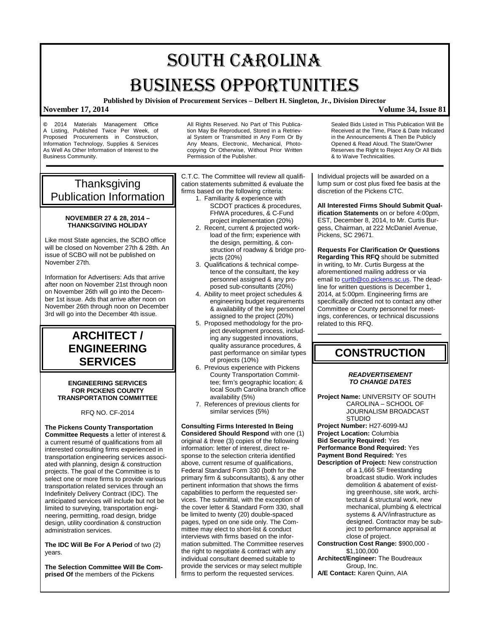# SOUTH CAROLINA BUSINESS OPPORTUNITIES

**Published by Division of Procurement Services – Delbert H. Singleton, Jr., Division Director**

All Rights Reserved. No Part of This Publica-

### **November 17, 2014 Volume 34, Issue 81**

**©** 2014 Materials Management Office A Listing, Published Twice Per Week, of Proposed Procurements in Construction, Information Technology, Supplies & Services As Well As Other Information of Interest to the Business Community.

tion May Be Reproduced, Stored in a Retrieval System or Transmitted in Any Form Or By Any Means, Electronic, Mechanical, Photocopying Or Otherwise, Without Prior Written Permission of the Publisher.

C.T.C. The Committee will review all qualification statements submitted & evaluate the firms based on the following criteria:

- 1. Familiarity & experience with SCDOT practices & procedures, FHWA procedures, & C-Fund project implementation (20%)
- 2. Recent, current & projected workload of the firm; experience with the design, permitting, & construction of roadway & bridge projects (20%)
- 3. Qualifications & technical competence of the consultant, the key personnel assigned & any proposed sub-consultants (20%)
- 4. Ability to meet project schedules & engineering budget requirements & availability of the key personnel assigned to the project (20%)
- 5. Proposed methodology for the project development process, including any suggested innovations, quality assurance procedures, & past performance on similar types of projects (10%)
- 6. Previous experience with Pickens County Transportation Committee; firm's geographic location; & local South Carolina branch office availability (5%)
- 7. References of previous clients for similar services (5%)

**Consulting Firms Interested In Being Considered Should Respond** with one (1) original & three (3) copies of the following information: letter of interest, direct response to the selection criteria identified above, current resume of qualifications, Federal Standard Form 330 (both for the primary firm & subconsultants), & any other pertinent information that shows the firms capabilities to perform the requested services. The submittal, with the exception of the cover letter & Standard Form 330, shall be limited to twenty (20) double-spaced pages, typed on one side only. The Committee may elect to short-list & conduct interviews with firms based on the information submitted. The Committee reserves the right to negotiate & contract with any individual consultant deemed suitable to provide the services or may select multiple firms to perform the requested services.

Sealed Bids Listed in This Publication Will Be Received at the Time, Place & Date Indicated in the Announcements & Then Be Publicly Opened & Read Aloud. The State/Owner Reserves the Right to Reject Any Or All Bids & to Waive Technicalities.

Individual projects will be awarded on a lump sum or cost plus fixed fee basis at the discretion of the Pickens CTC.

**All Interested Firms Should Submit Qualification Statements** on or before 4:00pm. EST, December 8, 2014, to Mr. Curtis Burgess, Chairman, at 222 McDaniel Avenue, Pickens, SC 29671.

**Requests For Clarification Or Questions Regarding This RFQ** should be submitted in writing, to Mr. Curtis Burgess at the aforementioned mailing address or via email to curtb@co.pickens.sc.us</u>. The deadline for written questions is December 1, 2014, at 5:00pm. Engineering firms are specifically directed not to contact any other Committee or County personnel for meetings, conferences, or technical discussions related to this RFQ.

## **CONSTRUCTION**

### *READVERTISEMENT TO CHANGE DATES*

**Project Name:** UNIVERSITY OF SOUTH CAROLINA – SCHOOL OF JOURNALISM BROADCAST **STUDIO** 

**Project Number:** H27-6099-MJ **Project Location:** Columbia **Bid Security Required:** Yes **Performance Bond Required:** Yes **Payment Bond Required:** Yes **Description of Project:** New construction

of a 1,666 SF freestanding broadcast studio. Work includes demolition & abatement of existing greenhouse, site work, architectural & structural work, new mechanical, plumbing & electrical systems & A/V/infrastructure as designed. Contractor may be subject to performance appraisal at close of project.

- **Construction Cost Range:** \$900,000 \$1,100,000
- **Architect/Engineer:** The Boudreaux Group, Inc.

**A/E Contact:** Karen Quinn, AIA

## **Thanksgiving** Publication Information

### **NOVEMBER 27 & 28, 2014 – THANKSGIVING HOLIDAY**

Like most State agencies, the SCBO office will be closed on November 27th & 28th. An issue of SCBO will not be published on November 27th.

Information for Advertisers: Ads that arrive after noon on November 21st through noon on November 26th will go into the December 1st issue. Ads that arrive after noon on November 26th through noon on December 3rd will go into the December 4th issue.

## **ARCHITECT / ENGINEERING SERVICES**

### **ENGINEERING SERVICES FOR PICKENS COUNTY TRANSPORTATION COMMITTEE**

RFQ NO. CF-2014

**The Pickens County Transportation Committee Requests** a letter of interest & a current resumé of qualifications from all interested consulting firms experienced in transportation engineering services associated with planning, design & construction projects. The goal of the Committee is to select one or more firms to provide various transportation related services through an Indefinitely Delivery Contract (IDC). The anticipated services will include but not be limited to surveying, transportation engineering, permitting, road design, bridge design, utility coordination & construction administration services.

**The IDC Will Be For A Period** of two (2) years.

**The Selection Committee Will Be Comprised Of** the members of the Pickens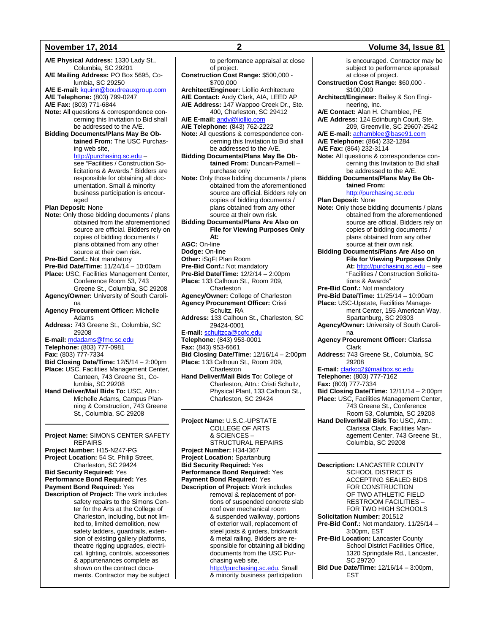**A/E Physical Address:** 1330 Lady St., Columbia, SC 29201 **A/E Mailing Address:** PO Box 5695, Columbia, SC 29250 **A/E E-mail:** [kquinn@boudreauxgroup.com](mailto:kquinn@boudreauxgroup.com) **A/E Telephone:** (803) 799-0247 **A/E Fax:** (803) 771-6844 **Note:** All questions & correspondence concerning this Invitation to Bid shall be addressed to the A/E. **Bidding Documents/Plans May Be Obtained From:** The USC Purchasing web site, [http://purchasing.sc.edu](http://purchasing.sc.edu/) – see "Facilities / Construction Solicitations & Awards." Bidders are responsible for obtaining all documentation. Small & minority business participation is encouraged **Plan Deposit:** None **Note:** Only those bidding documents / plans obtained from the aforementioned source are official. Bidders rely on copies of bidding documents / plans obtained from any other source at their own risk. **Pre-Bid Conf.:** Not mandatory **Pre-Bid Date/Time:** 11/24/14 – 10:00am **Place:** USC, Facilities Management Center, Conference Room 53, 743 Greene St., Columbia, SC 29208 **Agency/Owner:** University of South Carolina **Agency Procurement Officer:** Michelle Adams **Address:** 743 Greene St., Columbia, SC 29208 **E-mail:** [mdadams@fmc.sc.edu](mailto:mdadams@fmc.sc.edu) **Telephone:** (803) 777-0981 **Fax:** (803) 777-7334 **Bid Closing Date/Time:** 12/5/14 – 2:00pm **Place:** USC, Facilities Management Center, Canteen, 743 Greene St., Columbia, SC 29208 **Hand Deliver/Mail Bids To:** USC, Attn.: Michelle Adams, Campus Planning & Construction, 743 Greene St., Columbia, SC 29208

**Project Name:** SIMONS CENTER SAFETY REPAIRS **Project Number:** H15-N247-PG

**Project Location:** 54 St. Philip Street, Charleston, SC 29424 **Bid Security Required:** Yes **Performance Bond Required:** Yes **Payment Bond Required:** Yes **Description of Project:** The work includes

safety repairs to the Simons Center for the Arts at the College of Charleston, including, but not limited to, limited demolition, new safety ladders, guardrails, extension of existing gallery platforms, theatre rigging upgrades, electrical, lighting, controls, accessories & appurtenances complete as shown on the contract documents. Contractor may be subject

to performance appraisal at close of project. **Construction Cost Range:** \$500,000 - \$700,000 **Architect/Engineer:** Liollio Architecture **A/E Contact:** Andy Clark, AIA, LEED AP **A/E Address:** 147 Wappoo Creek Dr., Ste. 400, Charleston, SC 29412 **A/E E-mail:** [andy@liollio.com](mailto:andy@liollio.com) **A/E Telephone:** (843) 762-2222 **Note:** All questions & correspondence concerning this Invitation to Bid shall be addressed to the A/E. **Bidding Documents/Plans May Be Obtained From:** Duncan-Parnell – purchase only **Note:** Only those bidding documents / plans obtained from the aforementioned source are official. Bidders rely on copies of bidding documents / plans obtained from any other source at their own risk. **Bidding Documents/Plans Are Also on File for Viewing Purposes Only At: AGC:** On-line **Dodge:** On-line **Other:** iSqFt Plan Room **Pre-Bid Conf.:** Not mandatory **Pre-Bid Date/Time:** 12/2/14 – 2:00pm **Place:** 133 Calhoun St., Room 209, Charleston **Agency/Owner:** College of Charleston **Agency Procurement Officer:** Cristi Schultz, RA **Address:** 133 Calhoun St., Charleston, SC 29424-0001 **E-mail:** [schultzca@cofc.edu](mailto:schultzca@cofc.edu) **Telephone:** (843) 953-0001 **Fax:** (843) 953-6661 **Bid Closing Date/Time:** 12/16/14 – 2:00pm **Place:** 133 Calhoun St., Room 209, Charleston **Hand Deliver/Mail Bids To:** College of Charleston, Attn.: Cristi Schultz, Physical Plant, 133 Calhoun St., Charleston, SC 29424

**Project Name:** U.S.C.-UPSTATE COLLEGE OF ARTS & SCIENCES – STRUCTURAL REPAIRS **Project Number:** H34-I367 **Project Location:** Spartanburg **Bid Security Required:** Yes **Performance Bond Required:** Yes **Payment Bond Required:** Yes **Description of Project:** Work includes removal & replacement of portions of suspended concrete slab roof over mechanical room & suspended walkway, portions of exterior wall, replacement of steel joists & girders, brickwork & metal railing. Bidders are responsible for obtaining all bidding documents from the USC Purchasing web site, [http://purchasing.sc.edu.](http://purchasing.sc.edu/) Small & minority business participation

subject to performance appraisal at close of project. **Construction Cost Range:** \$60,000 - \$100,000 **Architect/Engineer:** Bailey & Son Engineering, Inc. **A/E Contact:** Alan H. Chamblee, PE **A/E Address:** 124 Edinburgh Court, Ste. 209, Greenville, SC 29607-2542 **A/E E-mail:** [achamblee@base91.com](mailto:achamblee@base91.com) **A/E Telephone:** (864) 232-1284 **A/E Fax:** (864) 232-3114 **Note:** All questions & correspondence concerning this Invitation to Bid shall be addressed to the A/E. **Bidding Documents/Plans May Be Obtained From:** [http://purchasing.sc.edu](http://purchasing.sc.edu/) **Plan Deposit:** None **Note:** Only those bidding documents / plans obtained from the aforementioned source are official. Bidders rely on copies of bidding documents / plans obtained from any other source at their own risk. **Bidding Documents/Plans Are Also on File for Viewing Purposes Only At:** [http://purchasing.sc.edu](http://purchasing.sc.edu/) – see "Facilities / Construction Solicitations & Awards" **Pre-Bid Conf.:** Not mandatory **Pre-Bid Date/Time:** 11/25/14 – 10:00am **Place:** USC-Upstate, Facilities Management Center, 155 American Way, Spartanburg, SC 29303 **Agency/Owner:** University of South Carolina **Agency Procurement Officer:** Clarissa Clark **Address:** 743 Greene St., Columbia, SC 29208 **E-mail:** [clarkcg2@mailbox.sc.edu](mailto:clarkcg2@mailbox.sc.edu) **Telephone:** (803) 777-7162 **Fax:** (803) 777-7334 **Bid Closing Date/Time:** 12/11/14 – 2:00pm **Place:** USC, Facilities Management Center, 743 Greene St., Conference Room 53, Columbia, SC 29208 **Hand Deliver/Mail Bids To:** USC, Attn.: Clarissa Clark, Facilities Management Center, 743 Greene St., Columbia, SC 29208 **Description:** LANCASTER COUNTY SCHOOL DISTRICT IS ACCEPTING SEALED BIDS FOR CONSTRUCTION

> OF TWO ATHLETIC FIELD RESTROOM FACILITIES – FOR TWO HIGH SCHOOLS

School District Facilities Office, 1320 Springdale Rd., Lancaster,

**Pre-Bid Conf.:** Not mandatory. 11/25/14 – 3:00pm, EST **Pre-Bid Location:** Lancaster County

**Bid Due Date/Time:** 12/16/14 – 3:00pm,

**Solicitation Number:** 201512

SC 29720

EST

### **November 17, 2014 2 Volume 34, Issue 81**

is encouraged. Contractor may be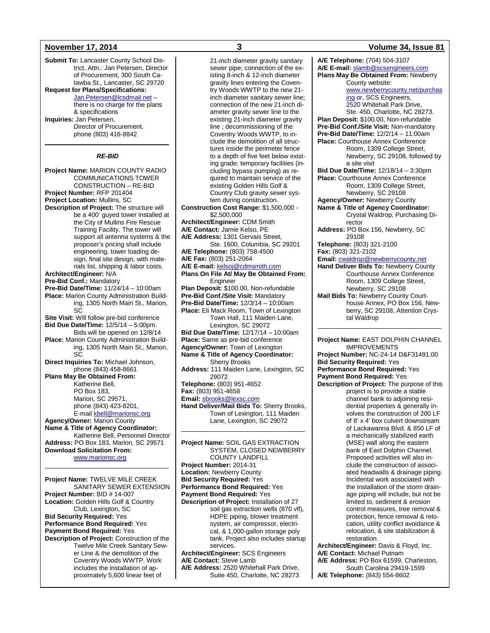**Submit To:** Lancaster County School District, Attn.: Jan Petersen, Director of Procurement, 300 South Catawba St., Lancaster, SC 29720 **Request for Plans/Specifications:** [Jan.Petersen@lcsdmail.net](mailto:Jan.Petersen@lcsdmail.net) – there is no charge for the plans & specifications **Inquiries:** Jan Petersen, Director of Procurement, phone (803) 416-8842 *RE-BID* **Project Name:** MARION COUNTY RADIO COMMUNICATIONS TOWER CONSTRUCTION – RE-BID **Project Number:** RFP 201404 **Project Location:** Mullins, SC **Description of Project:** The structure will be a 400' guyed tower installed at the City of Mullins Fire Rescue Training Facility. The tower will support all antenna systems & the proposer's pricing shall include engineering, tower loading design, final site design, with materials list, shipping & labor costs. **Architect/Engineer:** N/A **Pre-Bid Conf.:** Mandatory **Pre-Bid Date/Time:** 11/24/14 – 10:00am **Place:** Marion County Administration Building, 1305 North Main St., Marion, **SC Site Visit:** Will follow pre-bid conference **Bid Due Date/Time:** 12/5/14 – 5:00pm. Bids will be opened on 12/8/14 **Place:** Marion County Administration Building, 1305 North Main St., Marion, SC **Direct Inquiries To:** Michael Johnson, phone (843) 458-8661 **Plans May Be Obtained From:** Katherine Bell, PO Box 183, Marion, SC 29571, phone (843) 423-8201, E-mail [kbell@marionsc.org](mailto:kbell@marionsc.org) **Agency/Owner:** Marion County **Name & Title of Agency Coordinator:** Katherine Bell, Personnel Director **Address:** PO Box 183, Marion, SC 29571 **Download Solicitation From:** [www.marionsc.org](http://www.marionsc.org/) **Project Name:** TWELVE MILE CREEK SANITARY SEWER EXTENSION **Project Number:** BID # 14-007 **Location:** Golden Hills Golf & Country Club, Lexington, SC **Bid Security Required:** Yes **Performance Bond Required:** Yes **Payment Bond Required:** Yes **Description of Project:** Construction of the

Twelve Mile Creek Sanitary Sewer Line & the demolition of the Coventry Woods WWTP. Work includes the installation of approximately 5,600 linear feet of

21-inch diameter gravity sanitary sewer pipe; connection of the existing 8-inch & 12-inch diameter gravity lines entering the Coventry Woods WWTP to the new 21 inch diameter sanitary sewer line; connection of the new 21-inch diameter gravity sewer line to the existing 21-inch diameter gravity line ; decommissioning of the Coventry Woods WWTP, to include the demolition of all structures inside the perimeter fence to a depth of five feet below existing grade; temporary facilities (including bypass pumping) as required to maintain service of the existing Golden Hills Golf & Country Club gravity sewer system during construction. **Construction Cost Range:** \$1,500,000 - \$2,500,000 **Architect/Engineer:** CDM Smith **A/E Contact:** Jamie Kelso, PE **A/E Address:** 1301 Gervais Street, Ste. 1600, Columbia, SC 29201 **A/E Telephone:** (803) 758-4500 **A/E Fax:** (803) 251-2064 **A/E E-mail:** [kelsoj@cdmsmith.com](mailto:kelsoj@cdmsmith.com) **Plans On File At/ May Be Obtained From:** Engineer **Plan Deposit:** \$100.00, Non-refundable **Pre-Bid Conf./Site Visit:** Mandatory **Pre-Bid Date/Time:** 12/3/14 – 10:00am **Place:** Eli Mack Room, Town of Lexington Town Hall, 111 Maiden Lane, Lexington, SC 29072 **Bid Due Date/Time:** 12/17/14 – 10:00am **Place:** Same as pre-bid conference **Agency/Owner:** Town of Lexington **Name & Title of Agency Coordinator:** Sherry Brooks **Address:** 111 Maiden Lane, Lexington, SC 29072 **Telephone:** (803) 951-4652 **Fax:** (803) 951-4658 **Email:** [sbrooks@lexsc.com](mailto:sbrooks@lexsc.com) **Hand Deliver/Mail Bids To:** Sherry Brooks,

**Project Name:** SOIL GAS EXTRACTION SYSTEM, CLOSED NEWBERRY COUNTY LANDFILL **Project Number:** 2014-31 **Location:** Newberry County **Bid Security Required:** Yes **Performance Bond Required:** Yes **Payment Bond Required:** Yes **Description of Project:** Installation of 27 soil gas extraction wells (870 vlf), HDPE piping, blower treatment system, air compressor, electrical, & 1,000-gallon storage poly tank. Project also includes startup services. **Architect/Engineer:** SCS Engineers **A/E Contact:** Steve Lamb **A/E Address:** 2520 Whitehall Park Drive,

Suite 450, Charlotte, NC 28273

Town of Lexington, 111 Maiden Lane, Lexington, SC 29072

### **November 17, 2014 3 Volume 34, Issue 81**

**A/E Telephone:** (704) 504-3107 **A/E E-mail:** [slamb@scsengineers.com](mailto:slamb@scsengineers.com) **Plans May Be Obtained From:** Newberry County website: [www.newberrycounty.net/purchas](http://www.newberrycounty.net/purchasing) [ing](http://www.newberrycounty.net/purchasing) or, SCS Engineers, 2520 Whitehall Park Drive, Ste. 450, Charlotte, NC 28273. **Plan Deposit:** \$100.00, Non-refundable **Pre-Bid Conf./Site Visit:** Non-mandatory **Pre-Bid Date/Time:** 12/2/14 – 11:00am **Place:** Courthouse Annex Conference Room, 1309 College Street, Newberry, SC 29108, followed by a site visit **Bid Due Date/Time:** 12/18/14 – 3:30pm **Place:** Courthouse Annex Conference Room, 1309 College Street, Newberry, SC 29108 **Agency/Owner:** Newberry County **Name & Title of Agency Coordinator:** Crystal Waldrop, Purchasing Director **Address:** PO Box 156, Newberry, SC 29108 **Telephone:** (803) 321-2100 **Fax:** (803) 321-2102 Email: [cwaldrop@newberrycounty.net](mailto:cwaldrop@newberrycounty.net) **Hand Deliver Bids To:** Newberry County Courthouse Annex Conference Room, 1309 College Street, Newberry, SC 29108 **Mail Bids To:** Newberry County Courthouse Annex, PO Box 156, Newberry, SC 29108, Attention Crystal Waldrop **Project Name:** EAST DOLPHIN CHANNEL IMPROVEMENTS **Project Number:** NC-24-14 D&F31491.00 **Bid Security Required:** Yes **Performance Bond Required:** Yes **Payment Bond Required:** Yes **Description of Project:** The purpose of this project is to provide a stable channel bank to adjoining residential properties & generally involves the construction of 200 LF of 8' x 4' box culvert downstream of Lackawanna Blvd. & 850 LF of a mechanically stabilized earth (MSE) wall along the eastern bank of East Dolphin Channel. Proposed activities will also include the construction of associated headwalls & drainage piping. Incidental work associated with the installation of the storm drainage piping will include, but not be limited to, sediment & erosion

control measures, tree removal & protection, fence removal & relocation, utility conflict avoidance & relocation, & site stabilization & restoration. **Architect/Engineer:** Davis & Floyd, Inc.

**A/E Contact:** Michael Putnam **A/E Address:** PO Box 61599, Charleston, South Carolina 29419-1599 **A/E Telephone:** (843) 554-8602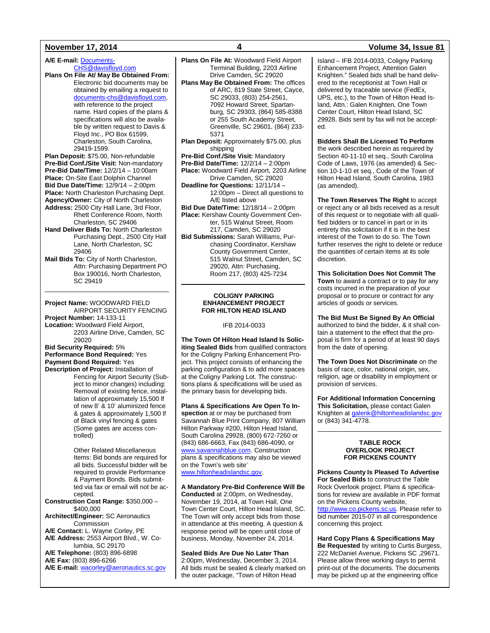**A/E E-mail:** [Documents-](mailto:Documents-CHS@davisfloyd.com)[CHS@davisfloyd.com](mailto:Documents-CHS@davisfloyd.com)

**Plans On File At/ May Be Obtained From:** Electronic bid documents may be obtained by emailing a request to [documents-chs@davisfloyd.com,](mailto:documents-chs@davisfloyd.com)  with reference to the project name. Hard copies of the plans & specifications will also be available by written request to Davis & Floyd Inc., PO Box 61599, Charleston, South Carolina, 29419-1599.

**Plan Deposit:** \$75.00, Non-refundable **Pre-Bid Conf./Site Visit:** Non-mandatory **Pre-Bid Date/Time:** 12/2/14 – 10:00am **Place: On-Site East Dolphin Channel Bid Due Date/Time:** 12/9/14 – 2:00pm **Place:** North Charleston Purchasing Dept. **Agency/Owner:** City of North Charleston **Address:** 2500 City Hall Lane, 3rd Floor, Rhett Conference Room, North

Charleston, SC 29406 **Hand Deliver Bids To:** North Charleston

Purchasing Dept., 2500 City Hall Lane, North Charleston, SC 29406

**Mail Bids To:** City of North Charleston, Attn: Purchasing Department PO Box 190016, North Charleston, SC 29419

**Project Name:** WOODWARD FIELD AIRPORT SECURITY FENCING **Project Number:** 14-133-11 **Location:** Woodward Field Airport, 2203 Airline Drive, Camden, SC 29020 **Bid Security Required:** 5% **Performance Bond Required:** Yes **Payment Bond Required:** Yes

**Description of Project:** Installation of Fencing for Airport Security (Subject to minor changes) including: Removal of existing fence, installation of approximately 15,500 lf of new 8' & 10' aluminized fence & gates & approximately 1,500 lf of Black vinyl fencing & gates (Some gates are access controlled)

> Other Related Miscellaneous Items: Bid bonds are required for all bids. Successful bidder will be required to provide Performance & Payment Bonds. Bids submitted via fax or email will not be accepted.

- **Construction Cost Range:** \$350,000 \$400,000
- **Architect/Engineer:** SC Aeronautics Commission
- **A/E Contact:** L. Wayne Corley, PE
- **A/E Address:** 2553 Airport Blvd., W. Columbia, SC 29170
- **A/E Telephone:** (803) 896-6898
- **A/E Fax:** (803) 896-6266

**A/E E-mail:** [wacorley@aeronautics.sc.gov](mailto:wacorley@aeronautics.sc.gov)

**Plans On File At:** Woodward Field Airport Terminal Building, 2203 Airline Drive Camden, SC 29020

- **Plans May Be Obtained From:** The offices of ARC, 819 State Street, Cayce, SC 29033, (803) 254-2561, 7092 Howard Street, Spartanburg, SC 29303, (864) 585-8388 or 255 South Academy Street, Greenville, SC 29601, (864) 233- 5371
- **Plan Deposit:** Approximately \$75.00, plus shipping

**Pre-Bid Conf./Site Visit:** Mandatory **Pre-Bid Date/Time:** 12/2/14 – 2:00pm

**Place:** Woodward Field Airport, 2203 Airline Drive Camden, SC 29020

- **Deadline for Questions:** 12/11/14 12:00pm – Direct all questions to A/E listed above
- **Bid Due Date/Time:** 12/18/14 2:00pm **Place:** Kershaw County Government Center, 515 Walnut Street, Room 217, Camden, SC 29020
- **Bid Submissions:** Sarah Williams, Purchasing Coordinator, Kershaw County Government Center, 515 Walnut Street, Camden, SC 29020, Attn: Purchasing, Room 217, (803) 425-7234

#### **COLIGNY PARKING ENHANCEMENT PROJECT FOR HILTON HEAD ISLAND**

#### IFB 2014-0033

**The Town Of Hilton Head Island Is Soliciting Sealed Bids** from qualified contractors for the Coligny Parking Enhancement Project. This project consists of enhancing the parking configuration & to add more spaces at the Coligny Parking Lot. The constructions plans & specifications will be used as the primary basis for developing bids.

**Plans & Specifications Are Open To Inspection** at or may be purchased from Savannah Blue Print Company, 807 William Hilton Parkway #200, Hilton Head Island, South Carolina 29928, (800) 672-7260 or (843) 686-6663, Fax (843) 686-4090, or [www.savannahblue.com.](http://www.savannahblue.com/) Construction plans & specifications may also be viewed on the Town's web site' [www.hiltonheadislandsc.gov.](http://www.hiltonheadislandsc.gov/)

**A Mandatory Pre-Bid Conference Will Be Conducted** at 2:00pm, on Wednesday, November 19, 2014, at Town Hall, One Town Center Court, Hilton Head Island, SC. The Town will only accept bids from those in attendance at this meeting. A question & response period will be open until close of business, Monday, November 24, 2014.

**Sealed Bids Are Due No Later Than** 2:00pm, Wednesday, December 3, 2014. All bids must be sealed & clearly marked on the outer package, "Town of Hilton Head

### **November 17, 2014 4 Volume 34, Issue 81**

Island – IFB 2014-0033, Coligny Parking Enhancement Project, Attention Galen Knighten." Sealed bids shall be hand delivered to the receptionist at Town Hall or delivered by traceable service (FedEx, UPS, etc.), to the Town of Hilton Head Island, Attn.: Galen Knighten, One Town Center Court, Hilton Head Island, SC 29928. Bids sent by fax will not be accepted.

**Bidders Shall Be Licensed To Perform** the work described herein as required by Section 40-11-10 et seq., South Carolina Code of Laws, 1976 (as amended) & Section 10-1-10 et seq., Code of the Town of Hilton Head Island, South Carolina, 1983 (as amended).

**The Town Reserves The Right** to accept or reject any or all bids received as a result of this request or to negotiate with all qualified bidders or to cancel in part or in its entirety this solicitation if it is in the best interest of the Town to do so. The Town further reserves the right to delete or reduce the quantities of certain items at its sole discretion.

**This Solicitation Does Not Commit The Town** to award a contract or to pay for any costs incurred in the preparation of your proposal or to procure or contract for any articles of goods or services.

**The Bid Must Be Signed By An Official** authorized to bind the bidder, & it shall contain a statement to the effect that the proposal is firm for a period of at least 90 days from the date of opening.

**The Town Does Not Discriminate** on the basis of race, color, national origin, sex, religion, age or disability in employment or provision of services.

**For Additional Information Concerning This Solicitation,** please contact Galen Knighten a[t galenk@hiltonheadislandsc.gov](mailto:galenk@hiltonheadislandsc.gov) or (843) 341-4778.

#### **TABLE ROCK OVERLOOK PROJECT FOR PICKENS COUNTY**

**Pickens County Is Pleased To Advertise For Sealed Bids** to construct the Table Rock Overlook project. Plans & specifications for review are available in PDF format on the Pickens County website, [http://www.co.pickens.sc.us.](http://www.co.pickens.sc.us/) Please refer to bid number 2015-07 in all correspondence concerning this project.

**Hard Copy Plans & Specifications May Be Requested** by writing to Curtis Burgess, 222 McDaniel Avenue, Pickens SC ,29671. Please allow three working days to permit print-out of the documents. The documents may be picked up at the engineering office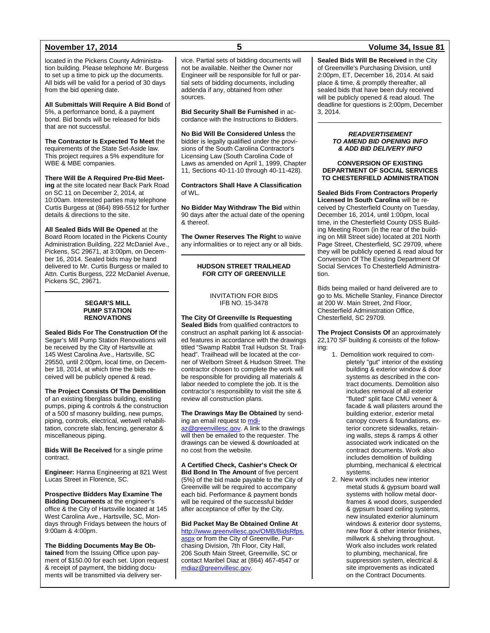### **November 17, 2014 5 Volume 34, Issue 81**

located in the Pickens County Administration building. Please telephone Mr. Burgess to set up a time to pick up the documents. All bids will be valid for a period of 30 days from the bid opening date.

**All Submittals Will Require A Bid Bond** of 5%, a performance bond, & a payment bond. Bid bonds will be released for bids that are not successful.

**The Contractor Is Expected To Meet** the requirements of the State Set-Aside law. This project requires a 5% expenditure for WBE & MBE companies.

**There Will Be A Required Pre-Bid Meeting** at the site located near Back Park Road on SC 11 on December 2, 2014, at 10:00am. Interested parties may telephone Curtis Burgess at (864) 898-5512 for further details & directions to the site.

**All Sealed Bids Will Be Opened** at the Board Room located in the Pickens County Administration Building, 222 McDaniel Ave., Pickens, SC 29671, at 3:00pm, on December 16, 2014. Sealed bids may be hand delivered to Mr. Curtis Burgess or mailed to Attn. Curtis Burgess, 222 McDaniel Avenue, Pickens SC, 29671.

#### **SEGAR'S MILL PUMP STATION RENOVATIONS**

**Sealed Bids For The Construction Of** the Segar's Mill Pump Station Renovations will be received by the City of Hartsville at 145 West Carolina Ave., Hartsville, SC 29550, until 2:00pm, local time, on December 18, 2014, at which time the bids received will be publicly opened & read.

**The Project Consists Of The Demolition** of an existing fiberglass building, existing pumps, piping & controls & the construction of a 500 sf masonry building, new pumps, piping, controls, electrical, wetwell rehabilitation, concrete slab, fencing, generator & miscellaneous piping.

**Bids Will Be Received** for a single prime contract.

**Engineer:** Hanna Engineering at 821 West Lucas Street in Florence, SC.

**Prospective Bidders May Examine The Bidding Documents** at the engineer's office & the City of Hartsville located at 145 West Carolina Ave., Hartsville, SC, Mondays through Fridays between the hours of 9:00am & 4:00pm.

**The Bidding Documents May Be Obtained** from the Issuing Office upon payment of \$150.00 for each set. Upon request & receipt of payment, the bidding documents will be transmitted via delivery ser-

vice. Partial sets of bidding documents will not be available. Neither the Owner nor Engineer will be responsible for full or partial sets of bidding documents, including addenda if any, obtained from other sources.

**Bid Security Shall Be Furnished** in accordance with the Instructions to Bidders.

**No Bid Will Be Considered Unless** the bidder is legally qualified under the provisions of the South Carolina Contractor's Licensing Law (South Carolina Code of Laws as amended on April 1, 1999, Chapter 11, Sections 40-11-10 through 40-11-428).

**Contractors Shall Have A Classification** of WL.

**No Bidder May Withdraw The Bid** within 90 days after the actual date of the opening & thereof.

**The Owner Reserves The Right** to waive any informalities or to reject any or all bids.

#### **HUDSON STREET TRAILHEAD FOR CITY OF GREENVILLE**

#### INVITATION FOR BIDS IFB NO. 15-3478

**The City Of Greenville Is Requesting Sealed Bids** from qualified contractors to construct an asphalt parking lot & associated features in accordance with the drawings titled "Swamp Rabbit Trail Hudson St. Trailhead". Trailhead will be located at the corner of Welborn Street & Hudson Street. The contractor chosen to complete the work will be responsible for providing all materials & labor needed to complete the job. It is the contractor's responsibility to visit the site & review all construction plans.

**The Drawings May Be Obtained** by sending an email request t[o mdi-](mailto:mdiaz@greenvillesc.gov)

[az@greenvillesc.gov.](mailto:mdiaz@greenvillesc.gov) A link to the drawings will then be emailed to the requester. The drawings can be viewed & downloaded at no cost from the website.

**A Certified Check, Cashier's Check Or Bid Bond In The Amount** of five percent (5%) of the bid made payable to the City of Greenville will be required to accompany each bid. Performance & payment bonds will be required of the successful bidder after acceptance of offer by the City.

**Bid Packet May Be Obtained Online At**

[http://www.greenvillesc.gov/OMB/BidsRfps.](http://www.greenvillesc.gov/OMB/BidsRfps.aspx) [aspx](http://www.greenvillesc.gov/OMB/BidsRfps.aspx) or from the City of Greenville, Purchasing Division, 7th Floor, City Hall, 206 South Main Street, Greenville, SC or contact Maribel Diaz at (864) 467-4547 or [mdiaz@greenvillesc.gov.](mailto:mdiaz@greenvillesc.gov)

**Sealed Bids Will Be Received** in the City of Greenville's Purchasing Division, until 2:00pm, ET, December 16, 2014. At said place & time, & promptly thereafter, all sealed bids that have been duly received will be publicly opened & read aloud. The deadline for questions is 2:00pm, December 3, 2014.

#### *READVERTISEMENT TO AMEND BID OPENING INFO & ADD BID DELIVERY INFO*

**CONVERSION OF EXISTING DEPARTMENT OF SOCIAL SERVICES TO CHESTERFIELD ADMINISTRATION**

**Sealed Bids From Contractors Properly Licensed In South Carolina** will be received by Chesterfield County on Tuesday, December 16, 2014, until 1:00pm, local time, in the Chesterfield County DSS Building Meeting Room (in the rear of the building on Mill Street side) located at 201 North Page Street, Chesterfield, SC 29709, where they will be publicly opened & read aloud for Conversion Of The Existing Department Of Social Services To Chesterfield Administration.

Bids being mailed or hand delivered are to go to Ms. Michelle Stanley, Finance Director at 200 W. Main Street, 2nd Floor, Chesterfield Administration Office, Chesterfield, SC 29709.

**The Project Consists Of** an approximately 22,170 SF building & consists of the following:

- 1. Demolition work required to completely "gut" interior of the existing building & exterior window & door systems as described in the contract documents. Demolition also includes removal of all exterior "fluted" split face CMU veneer & facade & wall pilasters around the building exterior, exterior metal canopy covers & foundations, exterior concrete sidewalks, retaining walls, steps & ramps & other associated work indicated on the contract documents. Work also includes demolition of building plumbing, mechanical & electrical systems.
- 2. New work includes new interior metal studs & gypsum board wall systems with hollow metal doorframes & wood doors, suspended & gypsum board ceiling systems, new insulated exterior aluminum windows & exterior door systems, new floor & other interior finishes, millwork & shelving throughout. Work also includes work related to plumbing, mechanical, fire suppression system, electrical & site improvements as indicated on the Contract Documents.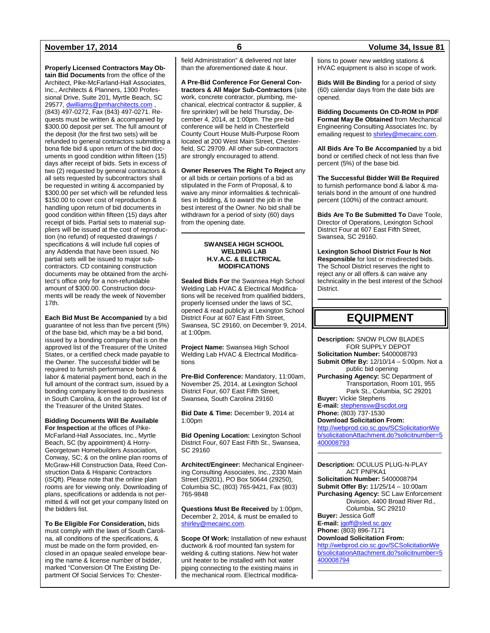**Properly Licensed Contractors May Obtain Bid Documents** from the office of the Architect, Pike-McFarland-Hall Associates, Inc., Architects & Planners, 1300 Professional Drive, Suite 201, Myrtle Beach, SC 29577, [dwilliams@pmharchitects.com](mailto:dwilliams@pmharchitects.com), (843) 497-0272, Fax (843) 497-0271. Requests must be written & accompanied by \$300.00 deposit per set. The full amount of the deposit (for the first two sets) will be refunded to general contractors submitting a bona fide bid & upon return of the bid documents in good condition within fifteen (15) days after receipt of bids. Sets in excess of two (2) requested by general contractors & all sets requested by subcontractors shall be requested in writing & accompanied by \$300.00 per set which will be refunded less \$150.00 to cover cost of reproduction & handling upon return of bid documents in good condition within fifteen (15) days after receipt of bids. Partial sets to material suppliers will be issued at the cost of reproduction (no refund) of requested drawings / specifications & will include full copies of any Addenda that have been issued. No partial sets will be issued to major subcontractors. CD containing construction documents may be obtained from the architect's office only for a non-refundable amount of \$300.00. Construction documents will be ready the week of November 17th.

**Each Bid Must Be Accompanied** by a bid guarantee of not less than five percent (5%) of the base bid, which may be a bid bond, issued by a bonding company that is on the approved list of the Treasurer of the United States, or a certified check made payable to the Owner. The successful bidder will be required to furnish performance bond & labor & material payment bond, each in the full amount of the contract sum, issued by a bonding company licensed to do business in South Carolina, & on the approved list of the Treasurer of the United States.

**Bidding Documents Will Be Available For Inspection** at the offices of Pike-McFarland-Hall Associates, Inc., Myrtle Beach, SC (by appointment) & Horry-Georgetown Homebuilders Association, Conway, SC; & on the online plan rooms of McGraw-Hill Construction Data, Reed Construction Data & Hispanic Contractors (iSQft). Please note that the online plan rooms are for viewing only. Downloading of plans, specifications or addenda is not permitted & will not get your company listed on the bidders list.

**To Be Eligible For Consideration,** bids must comply with the laws of South Carolina, all conditions of the specifications, & must be made on the form provided, enclosed in an opaque sealed envelope bearing the name & license number of bidder, marked "Conversion Of The Existing Department Of Social Services To: Chesterfield Administration" & delivered not later than the aforementioned date & hour.

**A Pre-Bid Conference For General Contractors & All Major Sub-Contractors** (site work, concrete contractor, plumbing, mechanical, electrical contractor & supplier, & fire sprinkler) will be held Thursday, December 4, 2014, at 1:00pm. The pre-bid conference will be held in Chesterfield County Court House Multi-Purpose Room located at 200 West Main Street, Chesterfield, SC 29709. All other sub-contractors are strongly encouraged to attend.

**Owner Reserves The Right To Reject** any or all bids or certain portions of a bid as stipulated in the Form of Proposal, & to waive any minor informalities & technicalities in bidding, & to award the job in the best interest of the Owner. No bid shall be withdrawn for a period of sixty (60) days from the opening date.

#### **SWANSEA HIGH SCHOOL WELDING LAB H.V.A.C. & ELECTRICAL MODIFICATIONS**

**Sealed Bids For** the Swansea High School Welding Lab HVAC & Electrical Modifications will be received from qualified bidders, properly licensed under the laws of SC, opened & read publicly at Lexington School District Four at 607 East Fifth Street, Swansea, SC 29160, on December 9, 2014, at 1:00pm.

**Project Name:** Swansea High School Welding Lab HVAC & Electrical Modifications

**Pre-Bid Conference:** Mandatory, 11:00am, November 25, 2014, at Lexington School District Four, 607 East Fifth Street, Swansea, South Carolina 29160

**Bid Date & Time:** December 9, 2014 at 1:00pm

**Bid Opening Location:** Lexington School District Four, 607 East Fifth St., Swansea, SC 29160

**Architect/Engineer:** Mechanical Engineering Consulting Associates, Inc., 2330 Main Street (29201), PO Box 50644 (29250), Columbia SC, (803) 765-9421, Fax (803) 765-9848

**Questions Must Be Received** by 1:00pm, December 2, 2014, & must be emailed to [shirley@mecainc.com.](mailto:shirley@mecainc.com)

**Scope Of Work:** Installation of new exhaust ductwork & roof mounted fan system for welding & cutting stations. New hot water unit heater to be installed with hot water piping connecting to the existing mains in the mechanical room. Electrical modifica-

### **November 17, 2014 6 Volume 34, Issue 81**

tions to power new welding stations & HVAC equipment is also in scope of work.

**Bids Will Be Binding** for a period of sixty (60) calendar days from the date bids are opened.

**Bidding Documents On CD-ROM In PDF Format May Be Obtained** from Mechanical Engineering Consulting Associates Inc. by emailing request t[o shirley@mecainc.com.](mailto:shirley@mecainc.com)

**All Bids Are To Be Accompanied** by a bid bond or certified check of not less than five percent (5%) of the base bid.

**The Successful Bidder Will Be Required** to furnish performance bond & labor & materials bond in the amount of one hundred percent (100%) of the contract amount.

**Bids Are To Be Submitted To** Dave Toole, Director of Operations, Lexington School District Four at 607 East Fifth Street, Swansea, SC 29160.

**Lexington School District Four Is Not Responsible** for lost or misdirected bids. The School District reserves the right to reject any or all offers & can waive any technicality in the best interest of the School District.

## **EQUIPMENT**

**Description:** SNOW PLOW BLADES FOR SUPPLY DEPOT **Solicitation Number:** 5400008793 **Submit Offer By:** 12/10/14 – 5:00pm. Not a public bid opening **Purchasing Agency:** SC Department of Transportation, Room 101, 955 Park St., Columbia, SC 29201 **Buyer:** Vickie Stephens **E-mail:** [stephensvw@scdot.org](mailto:stephensvw@scdot.org) **Phone:** (803) 737-1530 **Download Solicitation From:** [http://webprod.cio.sc.gov/SCSolicitationWe](http://webprod.cio.sc.gov/SCSolicitationWeb/solicitationAttachment.do?solicitnumber=5400008793) [b/solicitationAttachment.do?solicitnumber=5](http://webprod.cio.sc.gov/SCSolicitationWeb/solicitationAttachment.do?solicitnumber=5400008793) [400008793](http://webprod.cio.sc.gov/SCSolicitationWeb/solicitationAttachment.do?solicitnumber=5400008793)

**Description:** OCULUS PLUG-N-PLAY ACT PNPKA1 **Solicitation Number:** 5400008794 **Submit Offer By:** 11/25/14 – 10:00am

**Purchasing Agency:** SC Law Enforcement Division, 4400 Broad River Rd., Columbia, SC 29210 **Buyer:** Jessica Goff

**E-mail:** [jgoff@sled.sc.gov](mailto:jgoff@sled.sc.gov) **Phone:** (803) 896-7171 **Download Solicitation From:**

[http://webprod.cio.sc.gov/SCSolicitationWe](http://webprod.cio.sc.gov/SCSolicitationWeb/solicitationAttachment.do?solicitnumber=5400008794) [b/solicitationAttachment.do?solicitnumber=5](http://webprod.cio.sc.gov/SCSolicitationWeb/solicitationAttachment.do?solicitnumber=5400008794) [400008794](http://webprod.cio.sc.gov/SCSolicitationWeb/solicitationAttachment.do?solicitnumber=5400008794)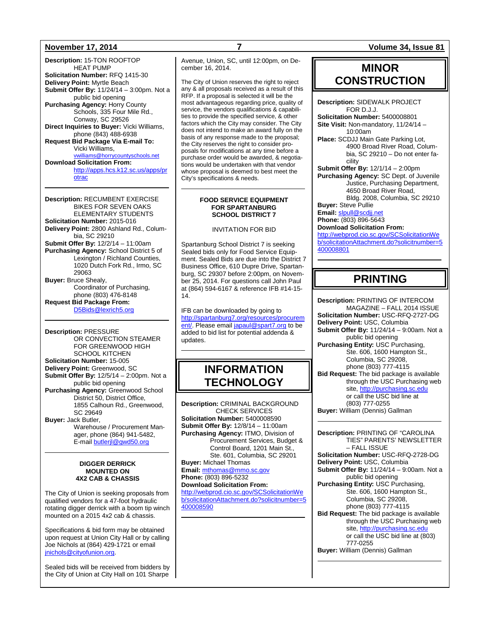**Description:** 15-TON ROOFTOP HEAT PUMP **Solicitation Number:** RFQ 1415-30 **Delivery Point:** Myrtle Beach **Submit Offer By:** 11/24/14 – 3:00pm. Not a public bid opening **Purchasing Agency:** Horry County Schools, 335 Four Mile Rd., Conway, SC 29526 **Direct Inquiries to Buyer:** Vicki Williams, phone (843) 488-6938 **Request Bid Package Via E-mail To:** Vicki Williams, ntyschools.net **Download Solicitation From:**

[http://apps.hcs.k12.sc.us/apps/pr](http://apps.hcs.k12.sc.us/apps/protrac) [otrac](http://apps.hcs.k12.sc.us/apps/protrac)

**Description:** RECUMBENT EXERCISE BIKES FOR SEVEN OAKS ELEMENTARY STUDENTS **Solicitation Number:** 2015-016 **Delivery Point:** 2800 Ashland Rd., Columbia, SC 29210 **Submit Offer By:** 12/2/14 – 11:00am **Purchasing Agency:** School District 5 of Lexington / Richland Counties, 1020 Dutch Fork Rd., Irmo, SC 29063 **Buyer:** Bruce Shealy, Coordinator of Purchasing, phone (803) 476-8148 **Request Bid Package From:** [D5Bids@lexrich5.org](mailto:D5Bids@lexrich5.org)

**Description:** PRESSURE OR CONVECTION STEAMER FOR GREENWOOD HIGH SCHOOL KITCHEN **Solicitation Number:** 15-005 **Delivery Point:** Greenwood, SC **Submit Offer By:** 12/5/14 – 2:00pm. Not a public bid opening **Purchasing Agency:** Greenwood School District 50, District Office, 1855 Calhoun Rd., Greenwood, SC 29649 **Buyer:** Jack Butler, Warehouse / Procurement Manager, phone (864) 941-5482, E-mail butleril@gwd50.org

#### **DIGGER DERRICK MOUNTED ON 4X2 CAB & CHASSIS**

The City of Union is seeking proposals from qualified vendors for a 47-foot hydraulic rotating digger derrick with a boom tip winch mounted on a 2015 4x2 cab & chassis.

Specifications & bid form may be obtained upon request at Union City Hall or by calling Joe Nichols at (864) 429-1721 or email [jnichols@cityofunion.org.](mailto:jnichols@cityofunion.org)

Sealed bids will be received from bidders by the City of Union at City Hall on 101 Sharpe Avenue, Union, SC, until 12:00pm, on December 16, 2014.

The City of Union reserves the right to reject any & all proposals received as a result of this RFP. If a proposal is selected it will be the most advantageous regarding price, quality of service, the vendors qualifications & capabilities to provide the specified service, & other factors which the City may consider. The City does not intend to make an award fully on the basis of any response made to the proposal; the City reserves the right to consider proposals for modifications at any time before a purchase order would be awarded, & negotiations would be undertaken with that vendor whose proposal is deemed to best meet the City's specifications & needs.

#### **FOOD SERVICE EQUIPMENT FOR SPARTANBURG SCHOOL DISTRICT 7**

#### INVITATION FOR BID

Spartanburg School District 7 is seeking Sealed bids only for Food Service Equipment. Sealed Bids are due into the District 7 Business Office, 610 Dupre Drive, Spartanburg, SC 29307 before 2:00pm, on November 25, 2014. For questions call John Paul at (864) 594-6167 & reference IFB #14-15- 14.

IFB can be downloaded by going to [http://spartanburg7.org/resources/procurem](http://spartanburg7.org/resources/procurement/) [ent/.](http://spartanburg7.org/resources/procurement/) Please emai[l japaul@spart7.org](mailto:japaul@spart7.org) to be added to bid list for potential addenda & updates.

## **INFORMATION TECHNOLOGY**

**Description:** CRIMINAL BACKGROUND CHECK SERVICES **Solicitation Number:** 5400008590 **Submit Offer By:** 12/8/14 – 11:00am **Purchasing Agency:** ITMO, Division of Procurement Services, Budget & Control Board, 1201 Main St., Ste. 601, Columbia, SC 29201 **Buyer:** Michael Thomas **Email:** [mthomas@mmo.sc.gov](mailto:mthomas@mmo.sc.gov) **Phone:** (803) 896-5232 **Download Solicitation From:** [http://webprod.cio.sc.gov/SCSolicitationWe](http://webprod.cio.sc.gov/SCSolicitationWeb/solicitationAttachment.do?solicitnumber=5400008590) [b/solicitationAttachment.do?solicitnumber=5](http://webprod.cio.sc.gov/SCSolicitationWeb/solicitationAttachment.do?solicitnumber=5400008590) [400008590](http://webprod.cio.sc.gov/SCSolicitationWeb/solicitationAttachment.do?solicitnumber=5400008590)

**November 17, 2014 7 Volume 34, Issue 81**

## **MINOR CONSTRUCTION**

**Description:** SIDEWALK PROJECT FOR D.J.J. **Solicitation Number:** 5400008801 **Site Visit:** Non-mandatory, 11/24/14 – 10:00am **Place:** SCDJJ Main Gate Parking Lot, 4900 Broad River Road, Columbia, SC 29210 – Do not enter facility **Submit Offer By:** 12/1/14 – 2:00pm **Purchasing Agency:** SC Dept. of Juvenile Justice, Purchasing Department, 4650 Broad River Road, Bldg. 2008, Columbia, SC 29210 **Buyer:** Steve Pullie **Email:** [slpull@scdjj.net](mailto:slpull@scdjj.net) **Phone:** (803) 896-5643 **Download Solicitation From:** [http://webprod.cio.sc.gov/SCSolicitationWe](http://webprod.cio.sc.gov/SCSolicitationWeb/solicitationAttachment.do?solicitnumber=5400008801) [b/solicitationAttachment.do?solicitnumber=5](http://webprod.cio.sc.gov/SCSolicitationWeb/solicitationAttachment.do?solicitnumber=5400008801) [400008801](http://webprod.cio.sc.gov/SCSolicitationWeb/solicitationAttachment.do?solicitnumber=5400008801)

## **PRINTING**

**Description:** PRINTING OF INTERCOM MAGAZINE – FALL 2014 ISSUE **Solicitation Number:** USC-RFQ-2727-DG **Delivery Point:** USC, Columbia **Submit Offer By:** 11/24/14 – 9:00am. Not a public bid opening **Purchasing Entity:** USC Purchasing, Ste. 606, 1600 Hampton St., Columbia, SC 29208, phone (803) 777-4115 **Bid Request:** The bid package is available through the USC Purchasing web site[, http://purchasing.sc.edu](http://purchasing.sc.edu/) or call the USC bid line at (803) 777-0255

**Buyer:** William (Dennis) Gallman

**Description:** PRINTING OF "CAROLINA TIES" PARENTS' NEWSLETTER – FALL ISSUE **Solicitation Number:** USC-RFQ-2728-DG **Delivery Point:** USC, Columbia **Submit Offer By:** 11/24/14 – 9:00am. Not a public bid opening **Purchasing Entity:** USC Purchasing, Ste. 606, 1600 Hampton St., Columbia, SC 29208, phone (803) 777-4115 **Bid Request:** The bid package is available through the USC Purchasing web site[, http://purchasing.sc.edu](http://purchasing.sc.edu/) or call the USC bid line at (803) 777-0255 **Buyer:** William (Dennis) Gallman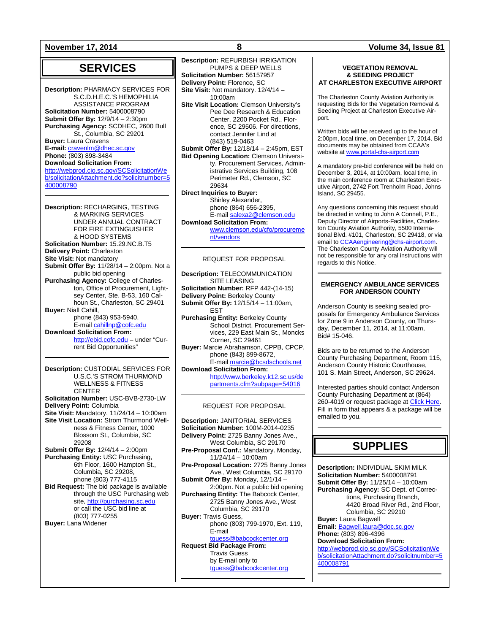**November 17, 2014 8 Volume 34, Issue 81**

## **SERVICES**

**Description:** PHARMACY SERVICES FOR S.C.D.H.E.C.'S HEMOPHILIA ASSISTANCE PROGRAM **Solicitation Number:** 5400008790 **Submit Offer By:** 12/9/14 – 2:30pm **Purchasing Agency:** SCDHEC, 2600 Bull St., Columbia, SC 29201 **Buyer:** Laura Cravens **E-mail:** [cravenlm@dhec.sc.gov](mailto:cravenlm@dhec.sc.gov) **Phone:** (803) 898-3484 **Download Solicitation From:** [http://webprod.cio.sc.gov/SCSolicitationWe](http://webprod.cio.sc.gov/SCSolicitationWeb/solicitationAttachment.do?solicitnumber=5400008790) [b/solicitationAttachment.do?solicitnumber=5](http://webprod.cio.sc.gov/SCSolicitationWeb/solicitationAttachment.do?solicitnumber=5400008790) [400008790](http://webprod.cio.sc.gov/SCSolicitationWeb/solicitationAttachment.do?solicitnumber=5400008790)

**Description:** RECHARGING, TESTING & MARKING SERVICES UNDER ANNUAL CONTRACT FOR FIRE EXTINGUISHER & HOOD SYSTEMS **Solicitation Number:** 15.29.NC.B.T5 **Delivery Point:** Charleston **Site Visit:** Not mandatory **Submit Offer By:** 11/28/14 – 2:00pm. Not a public bid opening **Purchasing Agency:** College of Charleston, Office of Procurement, Lightsey Center, Ste. B-53, 160 Calhoun St., Charleston, SC 29401 **Buyer:** Niall Cahill, phone (843) 953-5940, E-mail [cahillnp@cofc.edu](mailto:cahillnp@cofc.edu) **Download Solicitation From:** [http://ebid.cofc.edu](http://ebid.cofc.edu/) – under "Current Bid Opportunities"

**Description:** CUSTODIAL SERVICES FOR U.S.C.'S STROM THURMOND WELLNESS & FITNESS **CENTER Solicitation Number:** USC-BVB-2730-LW **Delivery Point:** Columbia **Site Visit:** Mandatory. 11/24/14 – 10:00am **Site Visit Location:** Strom Thurmond Wellness & Fitness Center, 1000 Blossom St., Columbia, SC 29208 **Submit Offer By:** 12/4/14 – 2:00pm **Purchasing Entity:** USC Purchasing, 6th Floor, 1600 Hampton St., Columbia, SC 29208, phone (803) 777-4115 **Bid Request:** The bid package is available through the USC Purchasing web site, [http://purchasing.sc.edu](http://purchasing.sc.edu/) or call the USC bid line at (803) 777-0255 **Buyer:** Lana Widener

**Description:** REFURBISH IRRIGATION PUMPS & DEEP WELLS **Solicitation Number:** 56157957 **Delivery Point:** Florence, SC **Site Visit:** Not mandatory. 12/4/14 – 10:00am **Site Visit Location:** Clemson University's Pee Dee Research & Education Center, 2200 Pocket Rd., Florence, SC 29506. For directions, contact Jennifer Lind at (843) 519-0463 **Submit Offer By:** 12/18/14 – 2:45pm, EST **Bid Opening Location:** Clemson University, Procurement Services, Administrative Services Building, 108 Perimeter Rd., Clemson, SC 29634

**Direct Inquiries to Buyer:** Shirley Alexander, phone (864) 656-2395, E-mai[l salexa2@clemson.edu](mailto:salexa2@clemson.edu) **Download Solicitation From:**

[www.clemson.edu/cfo/procureme](http://www.clemson.edu/cfo/procurement/vendors) [nt/vendors](http://www.clemson.edu/cfo/procurement/vendors)

### REQUEST FOR PROPOSAL

**Description:** TELECOMMUNICATION SITE LEASING **Solicitation Number:** RFP 442-(14-15) **Delivery Point:** Berkeley County **Submit Offer By:** 12/15/14 – 11:00am, EST **Purchasing Entity:** Berkeley County School District, Procurement Services, 229 East Main St., Moncks Corner, SC 29461 **Buyer:** Marcie Abrahamson, CPPB, CPCP, phone (843) 899-8672, E-mai[l marcie@bcsdschools.net](mailto:marcie@bcsdschools.net) **Download Solicitation From:** [http://www.berkeley.k12.sc.us/de](http://www.berkeley.k12.sc.us/departments.cfm?subpage=54016) [partments.cfm?subpage=54016](http://www.berkeley.k12.sc.us/departments.cfm?subpage=54016)

### REQUEST FOR PROPOSAL

**Description:** JANITORIAL SERVICES **Solicitation Number:** 100M-2014-0235 **Delivery Point:** 2725 Banny Jones Ave., West Columbia, SC 29170 **Pre-Proposal Conf.:** Mandatory. Monday, 11/24/14 – 10:00am **Pre-Proposal Location:** 2725 Banny Jones Ave., West Columbia, SC 29170 **Submit Offer By:** Monday, 12/1/14 – 2:00pm. Not a public bid opening **Purchasing Entity:** The Babcock Center, 2725 Banny Jones Ave., West Columbia, SC 29170 **Buyer:** Travis Guess, phone (803) 799-1970, Ext. 119, E-mail [tguess@babcockcenter.org](mailto:tguess@babcockcenter.org) **Request Bid Package From:** Travis Guess by E-mail only to

[tguess@babcockcenter.org](mailto:tguess@babcockcenter.org)

#### **VEGETATION REMOVAL & SEEDING PROJECT AT CHARLESTON EXECUTIVE AIRPORT**

The Charleston County Aviation Authority is requesting Bids for the Vegetation Removal & Seeding Project at Charleston Executive Airport.

Written bids will be received up to the hour of 2:00pm, local time, on December 17, 2014. Bid documents may be obtained from CCAA's website a[t www.portal-chs-airport.com](http://www.portal-chs-airport.com/)

A mandatory pre-bid conference will be held on December 3, 2014, at 10:00am, local time, in the main conference room at Charleston Executive Airport, 2742 Fort Trenholm Road, Johns Island, SC 29455.

Any questions concerning this request should be directed in writing to John A Connell, P.E., Deputy Director of Airports-Facilities, Charleston County Aviation Authority, 5500 International Blvd. #101, Charleston, SC 29418, or via email t[o CCAAengineering@chs-airport.com.](mailto:CCAAengineering@chs-airport.com)  The Charleston County Aviation Authority will not be responsible for any oral instructions with regards to this Notice.

#### **EMERGENCY AMBULANCE SERVICES FOR ANDERSON COUNTY**

Anderson County is seeking sealed proposals for Emergency Ambulance Services for Zone 9 in Anderson County, on Thursday, December 11, 2014, at 11:00am, Bid# 15-046.

Bids are to be returned to the Anderson County Purchasing Department, Room 115, Anderson County Historic Courthouse, 101 S. Main Street, Anderson, SC 29624.

Interested parties should contact Anderson County Purchasing Department at (864) 260-4019 or request package at Click Here. Fill in form that appears & a package will be emailed to you.

## **SUPPLIES**

**Description:** INDIVIDUAL SKIM MILK **Solicitation Number:** 5400008791 **Submit Offer By:** 11/25/14 – 10:00am **Purchasing Agency:** SC Dept. of Corrections, Purchasing Branch, 4420 Broad River Rd., 2nd Floor, Columbia, SC 29210 **Buyer:** Laura Bagwell **Email:** [Bagwell.laura@doc.sc.gov](mailto:Bagwell.laura@doc.sc.gov) **Phone:** (803) 896-4396 **Download Solicitation From:** [http://webprod.cio.sc.gov/SCSolicitationWe](http://webprod.cio.sc.gov/SCSolicitationWeb/solicitationAttachment.do?solicitnumber=5400008791) [b/solicitationAttachment.do?solicitnumber=5](http://webprod.cio.sc.gov/SCSolicitationWeb/solicitationAttachment.do?solicitnumber=5400008791) [400008791](http://webprod.cio.sc.gov/SCSolicitationWeb/solicitationAttachment.do?solicitnumber=5400008791)